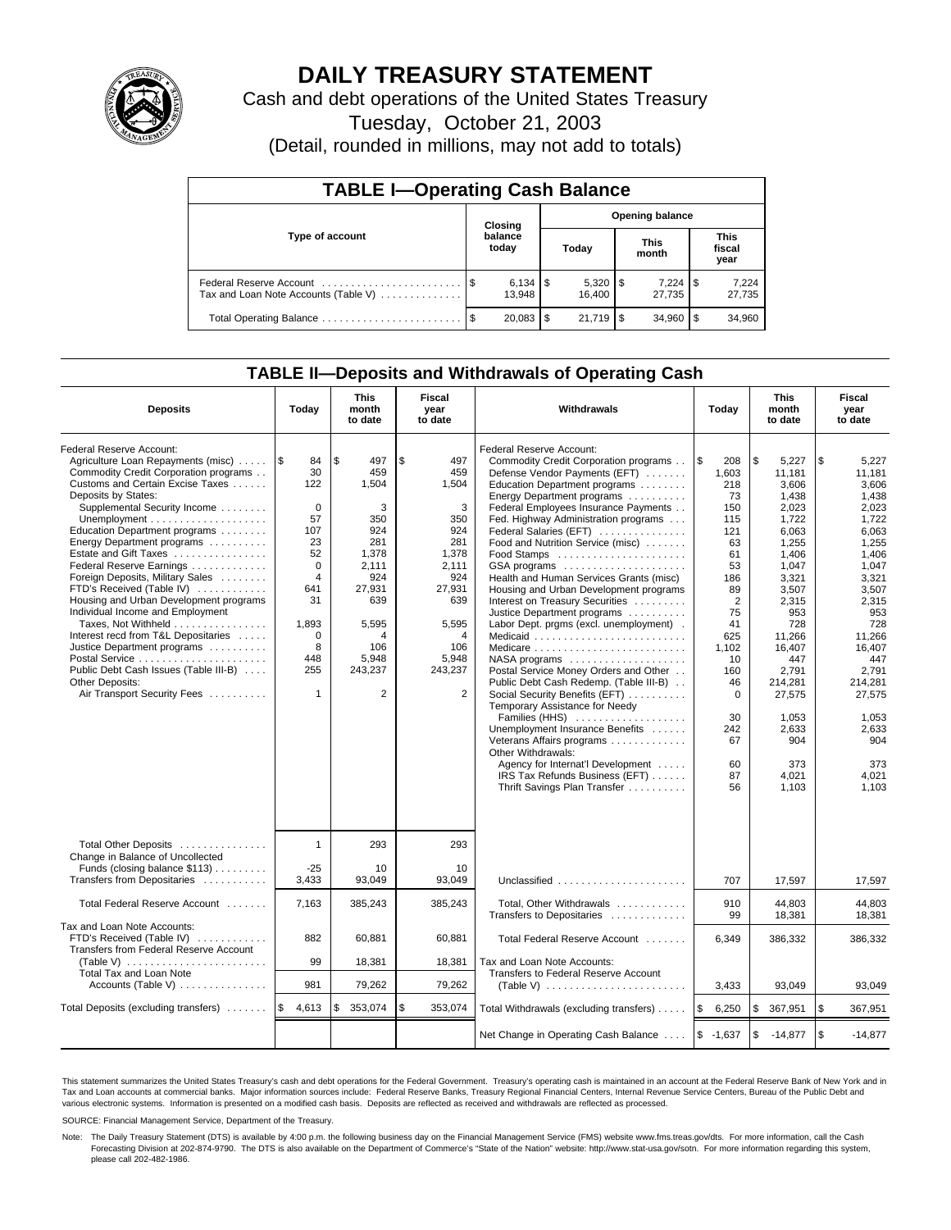

# **DAILY TREASURY STATEMENT**

Cash and debt operations of the United States Treasury

Tuesday, October 21, 2003

(Detail, rounded in millions, may not add to totals)

| <b>TABLE I-Operating Cash Balance</b>                           |                  |         |                        |            |  |                      |  |                               |  |  |
|-----------------------------------------------------------------|------------------|---------|------------------------|------------|--|----------------------|--|-------------------------------|--|--|
|                                                                 |                  | Closing | <b>Opening balance</b> |            |  |                      |  |                               |  |  |
| Type of account                                                 | balance<br>today |         |                        | Today      |  | <b>This</b><br>month |  | <b>This</b><br>fiscal<br>year |  |  |
| Federal Reserve Account<br>Tax and Loan Note Accounts (Table V) |                  | 13.948  |                        | 16.400     |  | $7.224$ S<br>27.735  |  | 7,224<br>27,735               |  |  |
| Total Operating Balance                                         |                  | 20,083  | S                      | $21.719$ S |  | 34.960               |  | 34,960                        |  |  |

## **TABLE II—Deposits and Withdrawals of Operating Cash**

| <b>Deposits</b>                                                                                                                                                                                                                                                                                                                                                                                                                                                                                                                                                                                                                                               | Today                                                                                                                                                                   | <b>This</b><br>month<br>to date                                                                                                                          | Fiscal<br>year<br>to date                                                                                                                                | <b>Withdrawals</b>                                                                                                                                                                                                                                                                                                                                                                                                                                                                                                                                                                                                                                                                                                                                                                                                                                                                                                                    | Today                                                                                                                                                                                                  | <b>This</b><br>month<br>to date                                                                                                                                                                                                                   | Fiscal<br>year<br>to date                                                                                                                                                                                                                         |
|---------------------------------------------------------------------------------------------------------------------------------------------------------------------------------------------------------------------------------------------------------------------------------------------------------------------------------------------------------------------------------------------------------------------------------------------------------------------------------------------------------------------------------------------------------------------------------------------------------------------------------------------------------------|-------------------------------------------------------------------------------------------------------------------------------------------------------------------------|----------------------------------------------------------------------------------------------------------------------------------------------------------|----------------------------------------------------------------------------------------------------------------------------------------------------------|---------------------------------------------------------------------------------------------------------------------------------------------------------------------------------------------------------------------------------------------------------------------------------------------------------------------------------------------------------------------------------------------------------------------------------------------------------------------------------------------------------------------------------------------------------------------------------------------------------------------------------------------------------------------------------------------------------------------------------------------------------------------------------------------------------------------------------------------------------------------------------------------------------------------------------------|--------------------------------------------------------------------------------------------------------------------------------------------------------------------------------------------------------|---------------------------------------------------------------------------------------------------------------------------------------------------------------------------------------------------------------------------------------------------|---------------------------------------------------------------------------------------------------------------------------------------------------------------------------------------------------------------------------------------------------|
| Federal Reserve Account:<br>Agriculture Loan Repayments (misc)<br>Commodity Credit Corporation programs<br>Customs and Certain Excise Taxes<br>Deposits by States:<br>Supplemental Security Income<br>Education Department programs<br>Energy Department programs<br>Estate and Gift Taxes<br>Federal Reserve Earnings<br>Foreign Deposits, Military Sales<br>FTD's Received (Table IV)<br>Housing and Urban Development programs<br>Individual Income and Employment<br>Taxes, Not Withheld<br>Interest recd from T&L Depositaries<br>Justice Department programs<br>Public Debt Cash Issues (Table III-B)<br>Other Deposits:<br>Air Transport Security Fees | 1\$<br>84<br>30<br>122<br>$\mathbf 0$<br>57<br>107<br>23<br>52<br>$\mathbf 0$<br>$\overline{4}$<br>641<br>31<br>1,893<br>$\mathbf 0$<br>8<br>448<br>255<br>$\mathbf{1}$ | \$<br>497<br>459<br>1,504<br>3<br>350<br>924<br>281<br>1,378<br>2,111<br>924<br>27,931<br>639<br>5,595<br>4<br>106<br>5,948<br>243,237<br>$\overline{2}$ | \$<br>497<br>459<br>1,504<br>3<br>350<br>924<br>281<br>1,378<br>2,111<br>924<br>27,931<br>639<br>5,595<br>4<br>106<br>5,948<br>243,237<br>$\overline{2}$ | Federal Reserve Account:<br>Commodity Credit Corporation programs<br>Defense Vendor Payments (EFT)<br>Education Department programs<br>Energy Department programs<br>Federal Employees Insurance Payments<br>Fed. Highway Administration programs<br>Federal Salaries (EFT)<br>Food and Nutrition Service (misc)<br>GSA programs<br>Health and Human Services Grants (misc)<br>Housing and Urban Development programs<br>Interest on Treasury Securities<br>Justice Department programs<br>Labor Dept. prgms (excl. unemployment).<br>Medicaid<br>NASA programs<br>Postal Service Money Orders and Other<br>Public Debt Cash Redemp. (Table III-B)<br>Social Security Benefits (EFT)<br>Temporary Assistance for Needy<br>Families (HHS)<br>Unemployment Insurance Benefits<br>Veterans Affairs programs<br>Other Withdrawals:<br>Agency for Internat'l Development<br>IRS Tax Refunds Business (EFT)<br>Thrift Savings Plan Transfer | l\$<br>208<br>1,603<br>218<br>73<br>150<br>115<br>121<br>63<br>61<br>53<br>186<br>89<br>$\overline{2}$<br>75<br>41<br>625<br>1,102<br>10<br>160<br>46<br>$\Omega$<br>30<br>242<br>67<br>60<br>87<br>56 | \$<br>5,227<br>11,181<br>3.606<br>1,438<br>2,023<br>1,722<br>6,063<br>1,255<br>1.406<br>1,047<br>3,321<br>3.507<br>2,315<br>953<br>728<br>11,266<br>16,407<br>447<br>2.791<br>214.281<br>27,575<br>1.053<br>2,633<br>904<br>373<br>4,021<br>1,103 | \$<br>5,227<br>11,181<br>3.606<br>1,438<br>2.023<br>1,722<br>6,063<br>1,255<br>1,406<br>1,047<br>3.321<br>3.507<br>2,315<br>953<br>728<br>11,266<br>16,407<br>447<br>2.791<br>214.281<br>27,575<br>1,053<br>2,633<br>904<br>373<br>4.021<br>1.103 |
| Total Other Deposits<br>Change in Balance of Uncollected<br>Funds (closing balance \$113)<br>Transfers from Depositaries                                                                                                                                                                                                                                                                                                                                                                                                                                                                                                                                      | $\mathbf{1}$<br>$-25$<br>3,433                                                                                                                                          | 293<br>10<br>93,049                                                                                                                                      | 293<br>10<br>93.049                                                                                                                                      | Unclassified                                                                                                                                                                                                                                                                                                                                                                                                                                                                                                                                                                                                                                                                                                                                                                                                                                                                                                                          | 707                                                                                                                                                                                                    | 17,597                                                                                                                                                                                                                                            | 17,597                                                                                                                                                                                                                                            |
| Total Federal Reserve Account                                                                                                                                                                                                                                                                                                                                                                                                                                                                                                                                                                                                                                 | 7,163                                                                                                                                                                   | 385,243                                                                                                                                                  | 385,243                                                                                                                                                  | Total, Other Withdrawals<br>Transfers to Depositaries                                                                                                                                                                                                                                                                                                                                                                                                                                                                                                                                                                                                                                                                                                                                                                                                                                                                                 | 910<br>99                                                                                                                                                                                              | 44,803<br>18,381                                                                                                                                                                                                                                  | 44,803<br>18,381                                                                                                                                                                                                                                  |
| Tax and Loan Note Accounts:<br>FTD's Received (Table IV)<br>Transfers from Federal Reserve Account<br>(Table V) $\ldots \ldots \ldots \ldots \ldots \ldots \ldots$<br>Total Tax and Loan Note                                                                                                                                                                                                                                                                                                                                                                                                                                                                 | 882<br>99                                                                                                                                                               | 60,881<br>18,381                                                                                                                                         | 60,881<br>18,381                                                                                                                                         | Total Federal Reserve Account<br>Tax and Loan Note Accounts:<br>Transfers to Federal Reserve Account                                                                                                                                                                                                                                                                                                                                                                                                                                                                                                                                                                                                                                                                                                                                                                                                                                  | 6,349                                                                                                                                                                                                  | 386,332                                                                                                                                                                                                                                           | 386,332                                                                                                                                                                                                                                           |
| Accounts (Table V) $\dots \dots \dots \dots$                                                                                                                                                                                                                                                                                                                                                                                                                                                                                                                                                                                                                  | 981                                                                                                                                                                     | 79,262                                                                                                                                                   | 79,262                                                                                                                                                   |                                                                                                                                                                                                                                                                                                                                                                                                                                                                                                                                                                                                                                                                                                                                                                                                                                                                                                                                       | 3,433                                                                                                                                                                                                  | 93,049                                                                                                                                                                                                                                            | 93,049                                                                                                                                                                                                                                            |
| Total Deposits (excluding transfers)                                                                                                                                                                                                                                                                                                                                                                                                                                                                                                                                                                                                                          | l\$<br>4,613                                                                                                                                                            | 353,074<br>\$                                                                                                                                            | \$<br>353,074                                                                                                                                            | Total Withdrawals (excluding transfers)                                                                                                                                                                                                                                                                                                                                                                                                                                                                                                                                                                                                                                                                                                                                                                                                                                                                                               | l \$<br>6,250                                                                                                                                                                                          | \$<br>367,951                                                                                                                                                                                                                                     | l \$<br>367,951                                                                                                                                                                                                                                   |
|                                                                                                                                                                                                                                                                                                                                                                                                                                                                                                                                                                                                                                                               |                                                                                                                                                                         |                                                                                                                                                          |                                                                                                                                                          | Net Change in Operating Cash Balance                                                                                                                                                                                                                                                                                                                                                                                                                                                                                                                                                                                                                                                                                                                                                                                                                                                                                                  | $$ -1,637$                                                                                                                                                                                             | \$<br>$-14,877$                                                                                                                                                                                                                                   | \$<br>$-14.877$                                                                                                                                                                                                                                   |

This statement summarizes the United States Treasury's cash and debt operations for the Federal Government. Treasury's operating cash is maintained in an account at the Federal Reserve Bank of New York and in Tax and Loan accounts at commercial banks. Major information sources include: Federal Reserve Banks, Treasury Regional Financial Centers, Internal Revenue Service Centers, Bureau of the Public Debt and<br>various electronic s

SOURCE: Financial Management Service, Department of the Treasury.

Note: The Daily Treasury Statement (DTS) is available by 4:00 p.m. the following business day on the Financial Management Service (FMS) website www.fms.treas.gov/dts. For more information, call the Cash Forecasting Division at 202-874-9790. The DTS is also available on the Department of Commerce's "State of the Nation" website: http://www.stat-usa.gov/sotn. For more information regarding this system, please call 202-482-1986.